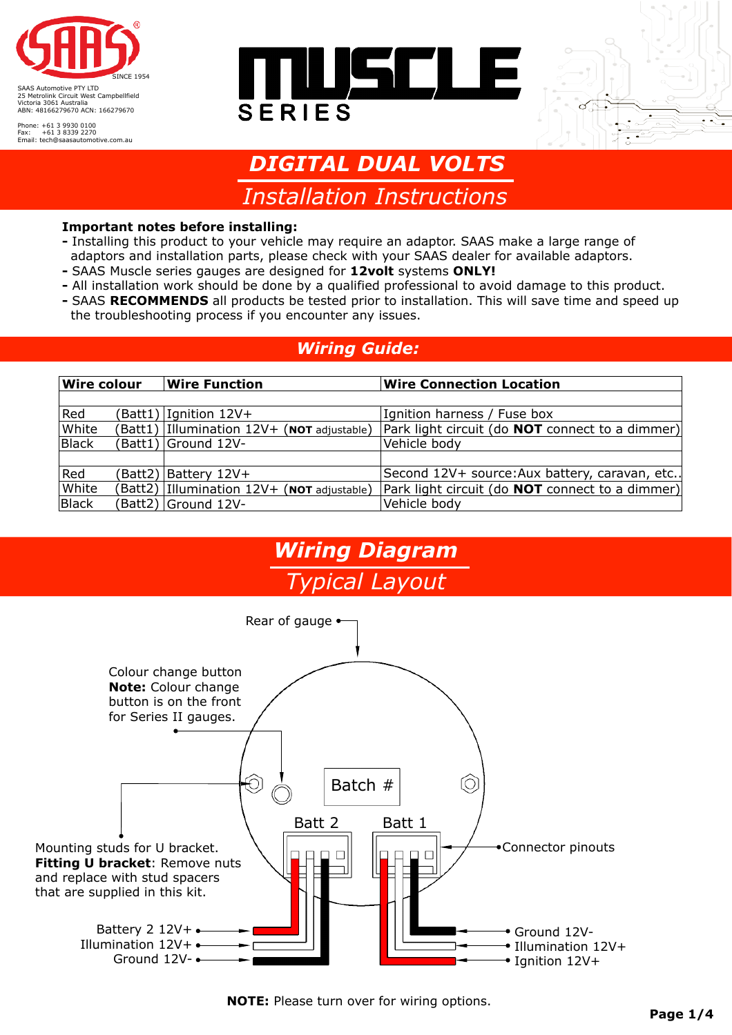

Phone: +61 3 9930 0100 Fax: +61 3 8339 2270 Email: tech@saasautomotive.com.au





# *DIGITAL DUAL VOLTS*

*Installation Instructions* 

#### **Important notes before installing:**

- Installing this product to your vehicle may require an adaptor. SAAS make a large range of adaptors and installation parts, please check with your SAAS dealer for available adaptors.
- SAAS Muscle series gauges are designed for **12volt** systems **ONLY!**
- **-** All installation work should be done by a qualified professional to avoid damage to this product.
- SAAS **RECOMMENDS** all products be tested prior to installation. This will save time and speed up the troubleshooting process if you encounter any issues.

#### *Wiring Guide:*

| <b>Wire colour</b> |  | <b>Wire Function</b>                            | <b>Wire Connection Location</b>                        |
|--------------------|--|-------------------------------------------------|--------------------------------------------------------|
|                    |  |                                                 |                                                        |
| Red                |  | $\text{Batt1)}$ Ignition 12V+                   | Ignition harness / Fuse box                            |
| White              |  | $(Batt1)$   Illumination 12V + (NOT adjustable) | Park light circuit (do <b>NOT</b> connect to a dimmer) |
| Black              |  | Batt1) Ground 12V-                              | Vehicle body                                           |
|                    |  |                                                 |                                                        |
| Red                |  | Batt2) Battery 12V+                             | Second 12V+ source: Aux battery, caravan, etc          |
| White              |  | $(Batt2)$   Illumination 12V + (NOT adjustable) | Park light circuit (do <b>NOT</b> connect to a dimmer) |
| Black              |  | (Batt2) Ground 12V-                             | Vehicle body                                           |

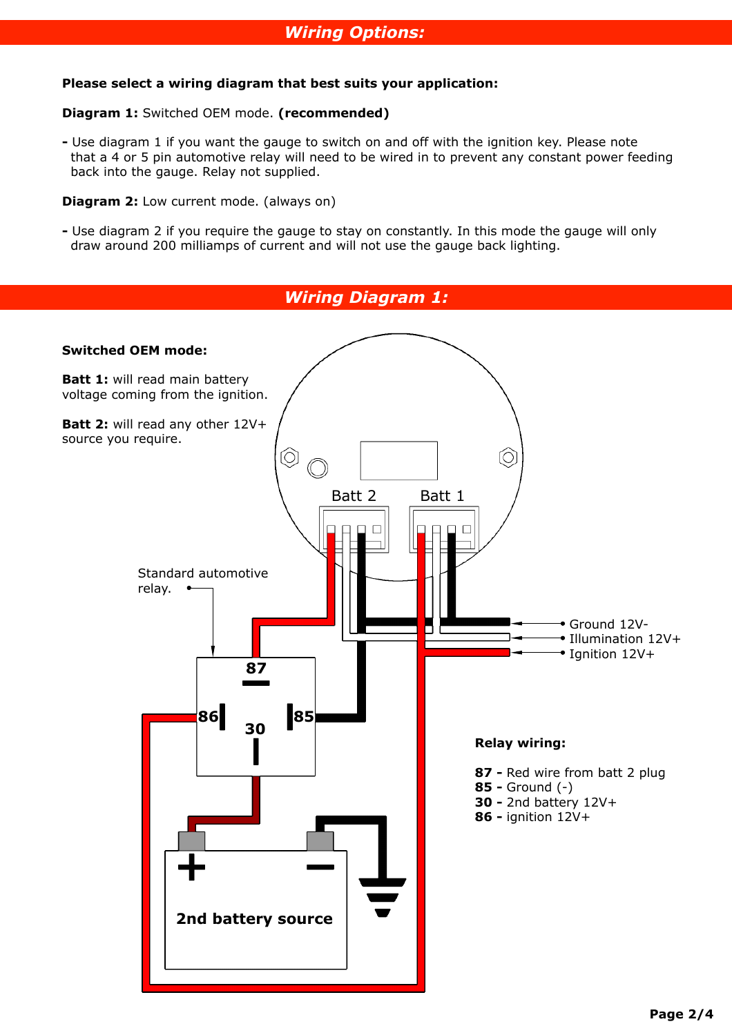#### **Please select a wiring diagram that best suits your application:**

#### **Diagram 1:** Switched OEM mode. **(recommended)**

**-** Use diagram 1 if you want the gauge to switch on and off with the ignition key. Please note that a 4 or 5 pin automotive relay will need to be wired in to prevent any constant power feeding back into the gauge. Relay not supplied.

**Diagram 2:** Low current mode. (always on)

**-** Use diagram 2 if you require the gauge to stay on constantly. In this mode the gauge will only draw around 200 milliamps of current and will not use the gauge back lighting.

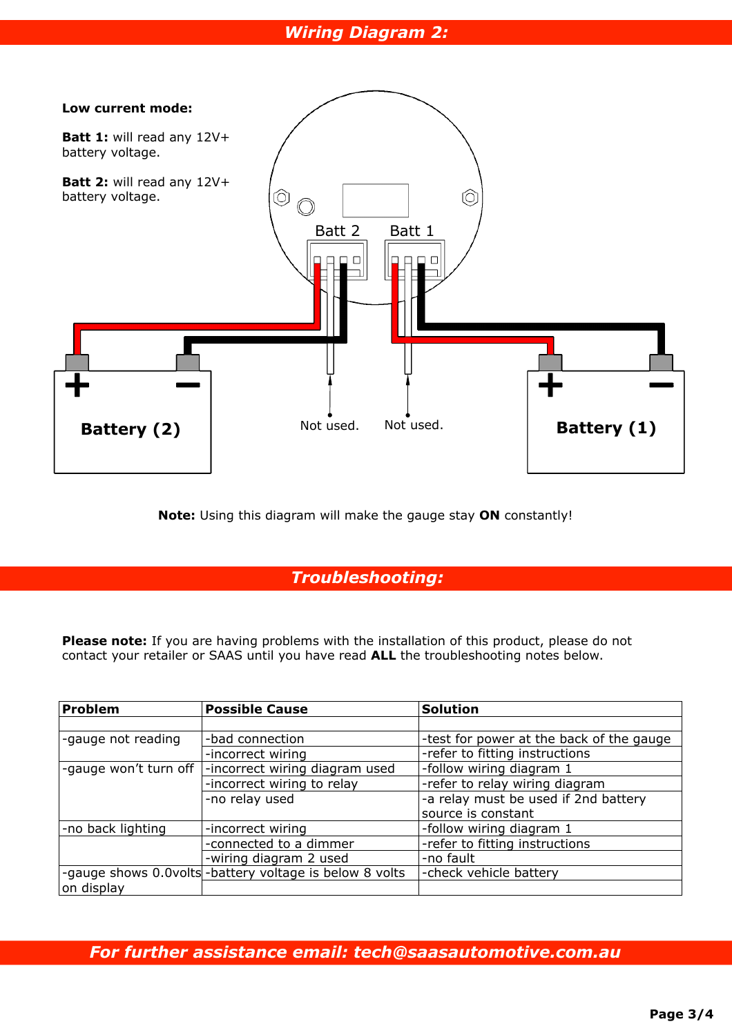## *Wiring Diagram 2:*



**Note:** Using this diagram will make the gauge stay **ON** constantly!

## *Troubleshooting:*

**Please note:** If you are having problems with the installation of this product, please do not contact your retailer or SAAS until you have read **ALL** the troubleshooting notes below.

| Problem               | <b>Possible Cause</b>                                      | <b>Solution</b>                          |  |
|-----------------------|------------------------------------------------------------|------------------------------------------|--|
|                       |                                                            |                                          |  |
| -gauge not reading    | -bad connection                                            | -test for power at the back of the gauge |  |
|                       | -incorrect wiring                                          | -refer to fitting instructions           |  |
| -gauge won't turn off | -follow wiring diagram 1<br>-incorrect wiring diagram used |                                          |  |
|                       | -incorrect wiring to relay                                 | -refer to relay wiring diagram           |  |
|                       | -no relay used                                             | -a relay must be used if 2nd battery     |  |
|                       |                                                            | source is constant                       |  |
| -no back lighting     | -incorrect wiring                                          | -follow wiring diagram 1                 |  |
|                       | -connected to a dimmer                                     | -refer to fitting instructions           |  |
|                       | -wiring diagram 2 used                                     | -no fault                                |  |
|                       | -gauge shows 0.0volts - battery voltage is below 8 volts   | -check vehicle battery                   |  |
| on display            |                                                            |                                          |  |

*For further assistance email: tech@saasautomotive.com.au*